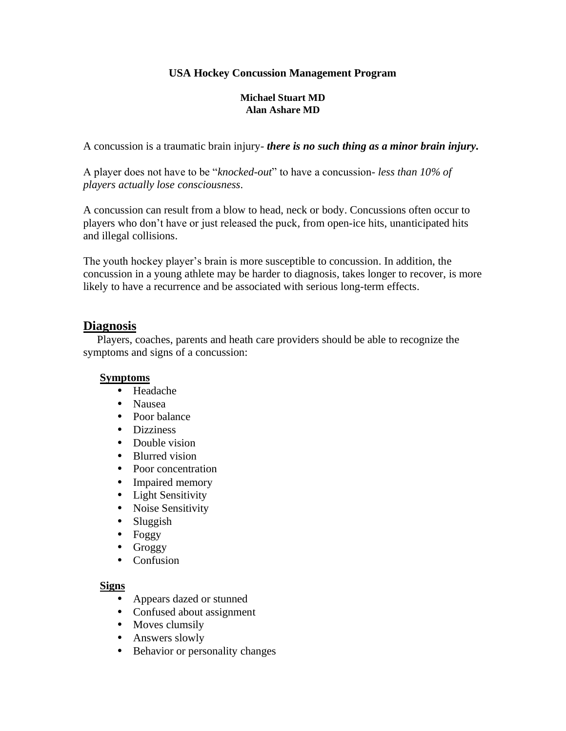## **USA Hockey Concussion Management Program**

#### **Michael Stuart MD Alan Ashare MD**

A concussion is a traumatic brain injury- *there is no such thing as a minor brain injury.*

A player does not have to be "*knocked-out*" to have a concussion- *less than 10% of players actually lose consciousness.*

A concussion can result from a blow to head, neck or body. Concussions often occur to players who don't have or just released the puck, from open-ice hits, unanticipated hits and illegal collisions.

The youth hockey player's brain is more susceptible to concussion. In addition, the concussion in a young athlete may be harder to diagnosis, takes longer to recover, is more likely to have a recurrence and be associated with serious long-term effects.

### **Diagnosis**

 Players, coaches, parents and heath care providers should be able to recognize the symptoms and signs of a concussion:

#### **Symptoms**

- Headache
- Nausea
- Poor balance
- Dizziness
- Double vision
- Blurred vision
- Poor concentration
- Impaired memory
- Light Sensitivity
- Noise Sensitivity
- Sluggish
- Foggy
- Groggy
- Confusion

#### **Signs**

- Appears dazed or stunned
- Confused about assignment
- Moves clumsily
- Answers slowly
- Behavior or personality changes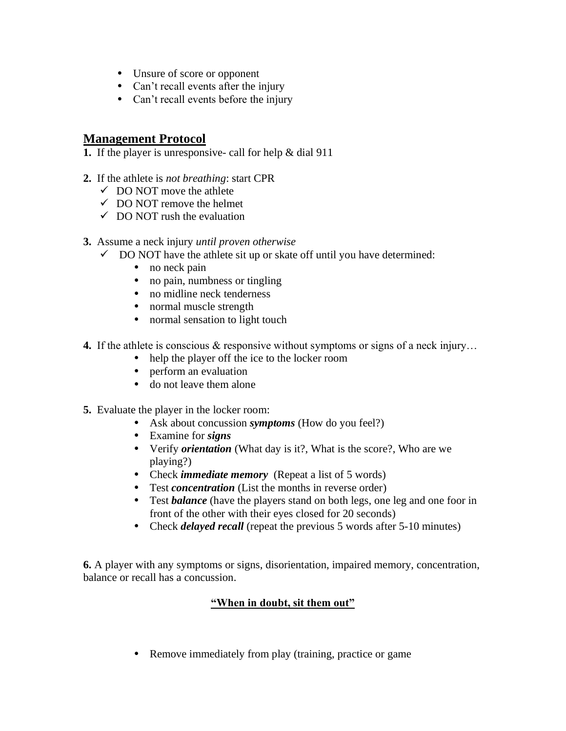- Unsure of score or opponent
- Can't recall events after the injury
- Can't recall events before the injury

# **Management Protocol**

**1.** If the player is unresponsive- call for help & dial 911

- **2.** If the athlete is *not breathing*: start CPR
	- $\checkmark$  DO NOT move the athlete
	- $\checkmark$  DO NOT remove the helmet
	- $\checkmark$  DO NOT rush the evaluation
- **3.** Assume a neck injury *until proven otherwise*
	- $\checkmark$  DO NOT have the athlete sit up or skate off until you have determined:
		- no neck pain
		- no pain, numbness or tingling
		- no midline neck tenderness
		- normal muscle strength
		- normal sensation to light touch
- **4.** If the athlete is conscious & responsive without symptoms or signs of a neck injury…
	- help the player off the ice to the locker room
	- perform an evaluation
	- do not leave them alone
- **5.** Evaluate the player in the locker room:
	- Ask about concussion *symptoms* (How do you feel?)
	- Examine for *signs*
	- Verify *orientation* (What day is it?, What is the score?, Who are we playing?)
	- Check *immediate memory* (Repeat a list of 5 words)
	- Test *concentration* (List the months in reverse order)
	- Test *balance* (have the players stand on both legs, one leg and one foor in front of the other with their eyes closed for 20 seconds)
	- Check *delayed recall* (repeat the previous 5 words after 5-10 minutes)

**6.** A player with any symptoms or signs, disorientation, impaired memory, concentration, balance or recall has a concussion.

## **"When in doubt, sit them out"**

• Remove immediately from play (training, practice or game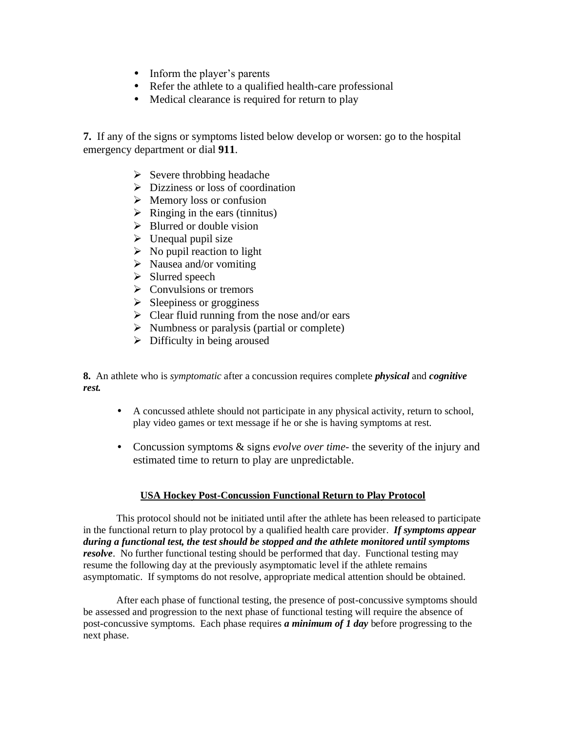- Inform the player's parents
- Refer the athlete to a qualified health-care professional
- Medical clearance is required for return to play

**7.** If any of the signs or symptoms listed below develop or worsen: go to the hospital emergency department or dial **911**.

- $\triangleright$  Severe throbbing headache
- ➢ Dizziness or loss of coordination
- ➢ Memory loss or confusion
- $\triangleright$  Ringing in the ears (tinnitus)
- $\triangleright$  Blurred or double vision
- $\triangleright$  Unequal pupil size
- $\triangleright$  No pupil reaction to light
- $\triangleright$  Nausea and/or vomiting
- ➢ Slurred speech
- $\triangleright$  Convulsions or tremors
- $\triangleright$  Sleepiness or grogginess
- $\triangleright$  Clear fluid running from the nose and/or ears
- $\triangleright$  Numbness or paralysis (partial or complete)
- $\triangleright$  Difficulty in being aroused

**8.** An athlete who is *symptomatic* after a concussion requires complete *physical* and *cognitive rest.*

- A concussed athlete should not participate in any physical activity, return to school, play video games or text message if he or she is having symptoms at rest.
- Concussion symptoms & signs *evolve over time-* the severity of the injury and estimated time to return to play are unpredictable.

#### **USA Hockey Post-Concussion Functional Return to Play Protocol**

This protocol should not be initiated until after the athlete has been released to participate in the functional return to play protocol by a qualified health care provider. *If symptoms appear during a functional test, the test should be stopped and the athlete monitored until symptoms resolve*. No further functional testing should be performed that day. Functional testing may resume the following day at the previously asymptomatic level if the athlete remains asymptomatic. If symptoms do not resolve, appropriate medical attention should be obtained.

After each phase of functional testing, the presence of post-concussive symptoms should be assessed and progression to the next phase of functional testing will require the absence of post-concussive symptoms. Each phase requires *a minimum of 1 day* before progressing to the next phase.